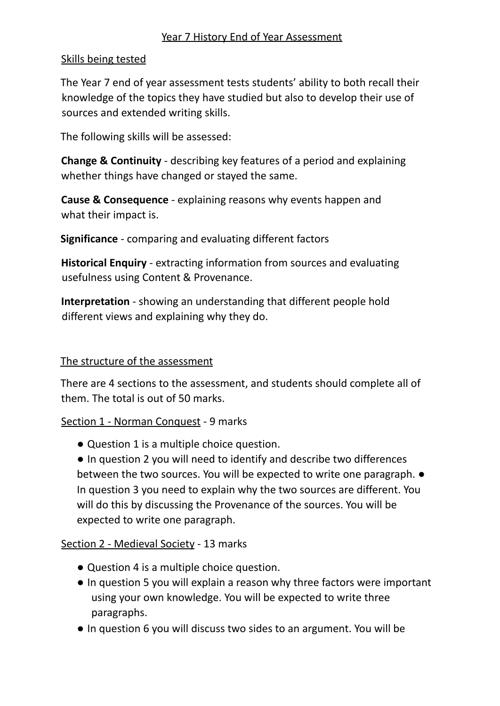## Year 7 History End of Year Assessment

## Skills being tested

The Year 7 end of year assessment tests students' ability to both recall their knowledge of the topics they have studied but also to develop their use of sources and extended writing skills.

The following skills will be assessed:

**Change & Continuity** - describing key features of a period and explaining whether things have changed or stayed the same.

**Cause & Consequence** - explaining reasons why events happen and what their impact is.

**Significance** - comparing and evaluating different factors

**Historical Enquiry** - extracting information from sources and evaluating usefulness using Content & Provenance.

**Interpretation** - showing an understanding that different people hold different views and explaining why they do.

### The structure of the assessment

There are 4 sections to the assessment, and students should complete all of them. The total is out of 50 marks.

Section 1 - Norman Conquest - 9 marks

● Question 1 is a multiple choice question.

● In question 2 you will need to identify and describe two differences between the two sources. You will be expected to write one paragraph. ● In question 3 you need to explain why the two sources are different. You will do this by discussing the Provenance of the sources. You will be expected to write one paragraph.

# Section 2 - Medieval Society - 13 marks

- Question 4 is a multiple choice question.
- In question 5 you will explain a reason why three factors were important using your own knowledge. You will be expected to write three paragraphs.
- In question 6 you will discuss two sides to an argument. You will be